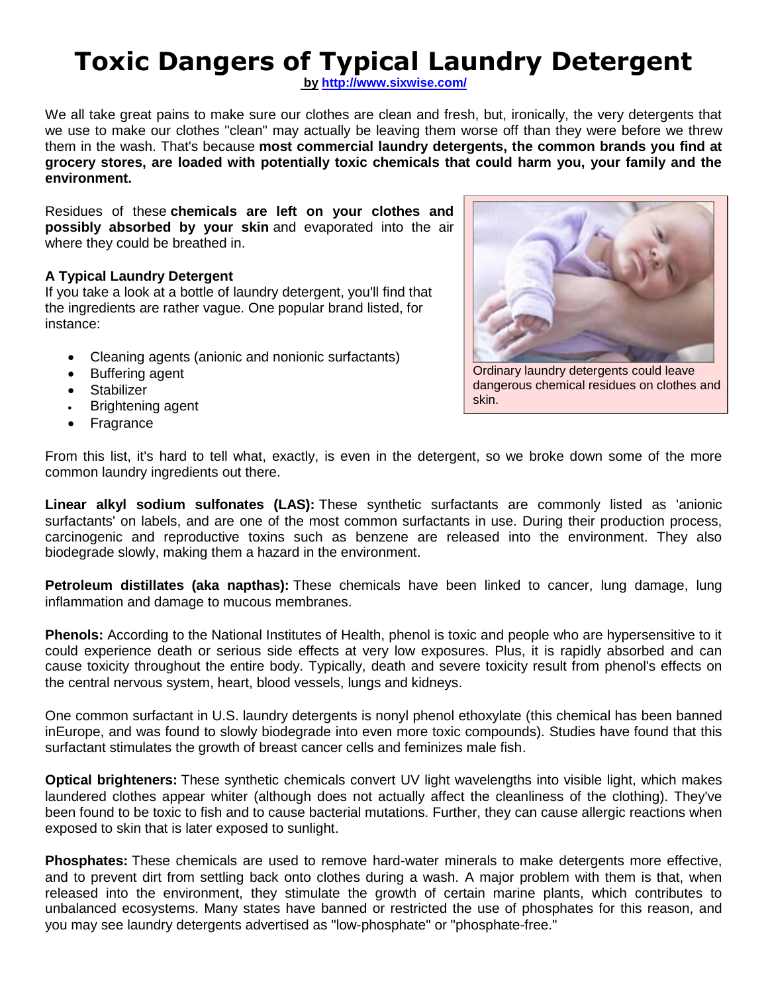# **Toxic Dangers of Typical Laundry Detergent**

**by http://www.sixwise.com/**

We all take great pains to make sure our clothes are clean and fresh, but, ironically, the very detergents that we use to make our clothes "clean" may actually be leaving them worse off than they were before we threw them in the wash. That's because **most commercial laundry detergents, the common brands you find at grocery stores, are loaded with potentially toxic chemicals that could harm you, your family and the environment.**

Residues of these **chemicals are left on your clothes and possibly absorbed by your skin** and evaporated into the air where they could be breathed in.

#### **A Typical Laundry Detergent**

If you take a look at a bottle of laundry detergent, you'll find that the ingredients are rather vague. One popular brand listed, for instance:

- Cleaning agents (anionic and nonionic surfactants)
- Buffering agent
- Stabilizer
- Brightening agent
- Fragrance



Ordinary laundry detergents could leave dangerous chemical residues on clothes and skin.

From this list, it's hard to tell what, exactly, is even in the detergent, so we broke down some of the more common laundry ingredients out there.

**Linear alkyl sodium sulfonates (LAS):** These synthetic surfactants are commonly listed as 'anionic surfactants' on labels, and are one of the most common surfactants in use. During their production process, carcinogenic and reproductive toxins such as benzene are released into the environment. They also biodegrade slowly, making them a hazard in the environment.

**Petroleum distillates (aka napthas):** These chemicals have been linked to cancer, lung damage, lung inflammation and damage to mucous membranes.

**Phenols:** According to the National Institutes of Health, phenol is toxic and people who are hypersensitive to it could experience death or serious side effects at very low exposures. Plus, it is rapidly absorbed and can cause toxicity throughout the entire body. Typically, death and severe toxicity result from phenol's effects on the central nervous system, heart, blood vessels, lungs and kidneys.

One common surfactant in U.S. laundry detergents is nonyl phenol ethoxylate (this chemical has been banned inEurope, and was found to slowly biodegrade into even more toxic compounds). Studies have found that this surfactant stimulates the growth of breast cancer cells and feminizes male fish.

**Optical brighteners:** These synthetic chemicals convert UV light wavelengths into visible light, which makes laundered clothes appear whiter (although does not actually affect the cleanliness of the clothing). They've been found to be toxic to fish and to cause bacterial mutations. Further, they can cause allergic reactions when exposed to skin that is later exposed to sunlight.

**Phosphates:** These chemicals are used to remove hard-water minerals to make detergents more effective, and to prevent dirt from settling back onto clothes during a wash. A major problem with them is that, when released into the environment, they stimulate the growth of certain marine plants, which contributes to unbalanced ecosystems. Many states have banned or restricted the use of phosphates for this reason, and you may see laundry detergents advertised as "low-phosphate" or "phosphate-free."